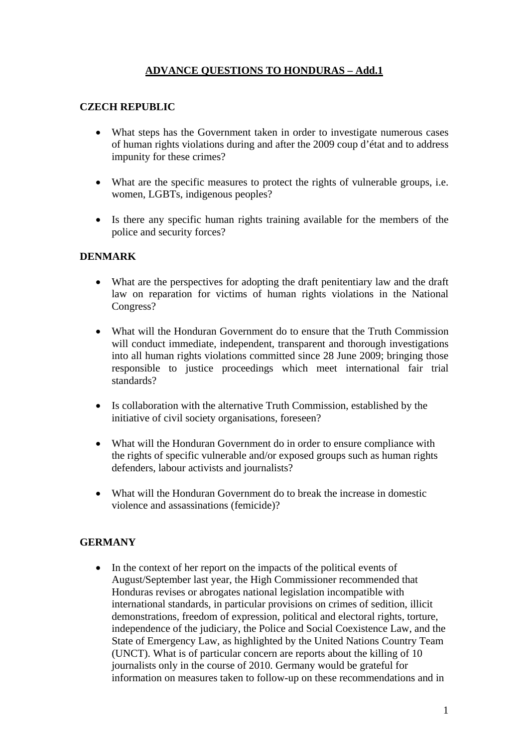# **ADVANCE QUESTIONS TO HONDURAS – Add.1**

# **CZECH REPUBLIC**

- What steps has the Government taken in order to investigate numerous cases of human rights violations during and after the 2009 coup d'état and to address impunity for these crimes?
- What are the specific measures to protect the rights of vulnerable groups, i.e. women, LGBTs, indigenous peoples?
- Is there any specific human rights training available for the members of the police and security forces?

## **DENMARK**

- What are the perspectives for adopting the draft penitentiary law and the draft law on reparation for victims of human rights violations in the National Congress?
- What will the Honduran Government do to ensure that the Truth Commission will conduct immediate, independent, transparent and thorough investigations into all human rights violations committed since 28 June 2009; bringing those responsible to justice proceedings which meet international fair trial standards?
- Is collaboration with the alternative Truth Commission, established by the initiative of civil society organisations, foreseen?
- What will the Honduran Government do in order to ensure compliance with the rights of specific vulnerable and/or exposed groups such as human rights defenders, labour activists and journalists?
- What will the Honduran Government do to break the increase in domestic violence and assassinations (femicide)?

## **GERMANY**

• In the context of her report on the impacts of the political events of August/September last year, the High Commissioner recommended that Honduras revises or abrogates national legislation incompatible with international standards, in particular provisions on crimes of sedition, illicit demonstrations, freedom of expression, political and electoral rights, torture, independence of the judiciary, the Police and Social Coexistence Law, and the State of Emergency Law, as highlighted by the United Nations Country Team (UNCT). What is of particular concern are reports about the killing of 10 journalists only in the course of 2010. Germany would be grateful for information on measures taken to follow-up on these recommendations and in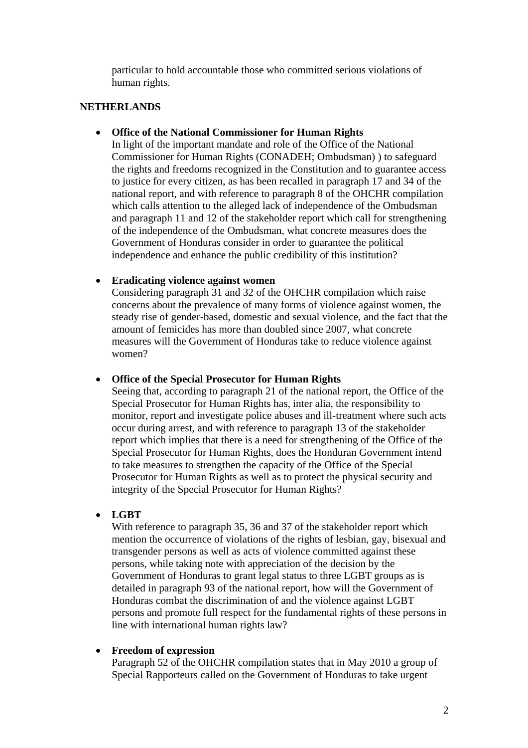particular to hold accountable those who committed serious violations of human rights.

## **NETHERLANDS**

#### • **Office of the National Commissioner for Human Rights**

In light of the important mandate and role of the Office of the National Commissioner for Human Rights (CONADEH; Ombudsman) ) to safeguard the rights and freedoms recognized in the Constitution and to guarantee access to justice for every citizen, as has been recalled in paragraph 17 and 34 of the national report, and with reference to paragraph 8 of the OHCHR compilation which calls attention to the alleged lack of independence of the Ombudsman and paragraph 11 and 12 of the stakeholder report which call for strengthening of the independence of the Ombudsman, what concrete measures does the Government of Honduras consider in order to guarantee the political independence and enhance the public credibility of this institution?

## • **Eradicating violence against women**

Considering paragraph 31 and 32 of the OHCHR compilation which raise concerns about the prevalence of many forms of violence against women, the steady rise of gender-based, domestic and sexual violence, and the fact that the amount of femicides has more than doubled since 2007, what concrete measures will the Government of Honduras take to reduce violence against women?

### • **Office of the Special Prosecutor for Human Rights**

Seeing that, according to paragraph 21 of the national report, the Office of the Special Prosecutor for Human Rights has, inter alia, the responsibility to monitor, report and investigate police abuses and ill-treatment where such acts occur during arrest, and with reference to paragraph 13 of the stakeholder report which implies that there is a need for strengthening of the Office of the Special Prosecutor for Human Rights, does the Honduran Government intend to take measures to strengthen the capacity of the Office of the Special Prosecutor for Human Rights as well as to protect the physical security and integrity of the Special Prosecutor for Human Rights?

## • **LGBT**

With reference to paragraph 35, 36 and 37 of the stakeholder report which mention the occurrence of violations of the rights of lesbian, gay, bisexual and transgender persons as well as acts of violence committed against these persons, while taking note with appreciation of the decision by the Government of Honduras to grant legal status to three LGBT groups as is detailed in paragraph 93 of the national report, how will the Government of Honduras combat the discrimination of and the violence against LGBT persons and promote full respect for the fundamental rights of these persons in line with international human rights law?

#### • **Freedom of expression**

Paragraph 52 of the OHCHR compilation states that in May 2010 a group of Special Rapporteurs called on the Government of Honduras to take urgent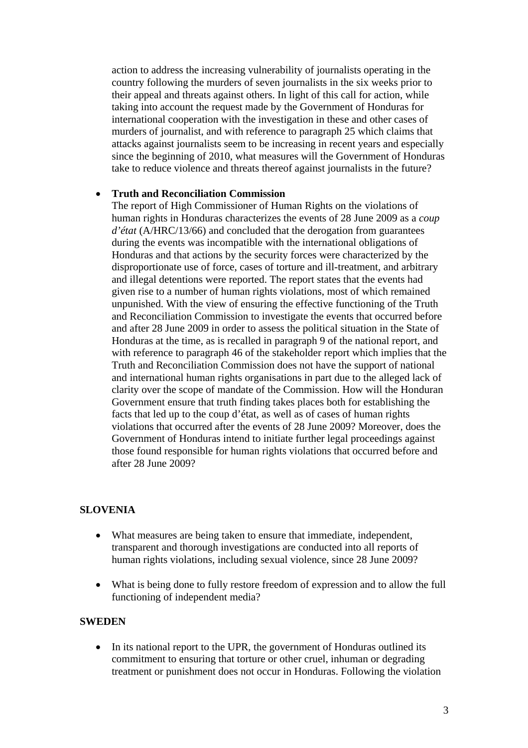action to address the increasing vulnerability of journalists operating in the country following the murders of seven journalists in the six weeks prior to their appeal and threats against others. In light of this call for action, while taking into account the request made by the Government of Honduras for international cooperation with the investigation in these and other cases of murders of journalist, and with reference to paragraph 25 which claims that attacks against journalists seem to be increasing in recent years and especially since the beginning of 2010, what measures will the Government of Honduras take to reduce violence and threats thereof against journalists in the future?

### • **Truth and Reconciliation Commission**

The report of High Commissioner of Human Rights on the violations of human rights in Honduras characterizes the events of 28 June 2009 as a *coup d'état* (A/HRC/13/66) and concluded that the derogation from guarantees during the events was incompatible with the international obligations of Honduras and that actions by the security forces were characterized by the disproportionate use of force, cases of torture and ill-treatment, and arbitrary and illegal detentions were reported. The report states that the events had given rise to a number of human rights violations, most of which remained unpunished. With the view of ensuring the effective functioning of the Truth and Reconciliation Commission to investigate the events that occurred before and after 28 June 2009 in order to assess the political situation in the State of Honduras at the time, as is recalled in paragraph 9 of the national report, and with reference to paragraph 46 of the stakeholder report which implies that the Truth and Reconciliation Commission does not have the support of national and international human rights organisations in part due to the alleged lack of clarity over the scope of mandate of the Commission. How will the Honduran Government ensure that truth finding takes places both for establishing the facts that led up to the coup d'état, as well as of cases of human rights violations that occurred after the events of 28 June 2009? Moreover, does the Government of Honduras intend to initiate further legal proceedings against those found responsible for human rights violations that occurred before and after 28 June 2009?

#### **SLOVENIA**

- What measures are being taken to ensure that immediate, independent, transparent and thorough investigations are conducted into all reports of human rights violations, including sexual violence, since 28 June 2009?
- What is being done to fully restore freedom of expression and to allow the full functioning of independent media?

### **SWEDEN**

• In its national report to the UPR, the government of Honduras outlined its commitment to ensuring that torture or other cruel, inhuman or degrading treatment or punishment does not occur in Honduras. Following the violation